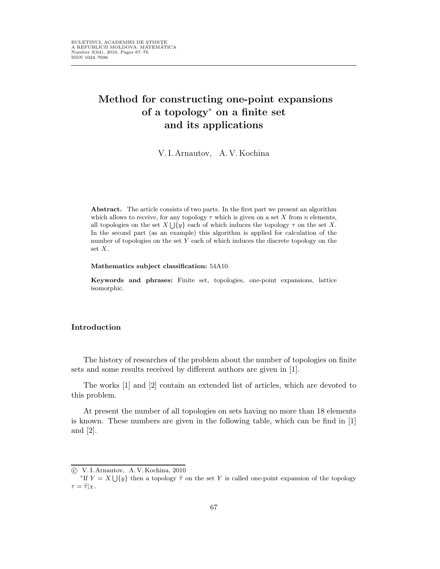# Method for constructing one-point expansions of a topology<sup>∗</sup> on a finite set and its applications

V.I.Arnautov, A.V.Kochina

Abstract. The article consists of two parts. In the first part we present an algorithm which allows to receive, for any topology  $\tau$  which is given on a set X from n elements, all topologies on the set  $X \cup \{y\}$  each of which induces the topology  $\tau$  on the set X. In the second part (as an example) this algorithm is applied for calculation of the number of topologies on the set  $Y$  each of which induces the discrete topology on the set X.

Mathematics subject classification: 54A10.

Keywords and phrases: Finite set, topologies, one-point expansions, lattice isomorphic.

#### Introduction

The history of researches of the problem about the number of topologies on finite sets and some results received by different authors are given in [1].

The works [1] and [2] contain an extended list of articles, which are devoted to this problem.

At present the number of all topologies on sets having no more than 18 elements is known. These numbers are given in the following table, which can be find in [1] and [2].

c V. I. Arnautov, A. V. Kochina, 2010

<sup>\*</sup>If  $Y = X \bigcup \{y\}$  then a topology  $\tilde{\tau}$  on the set Y is called one-point expansion of the topology  $\tau = \widetilde{\tau}|_X.$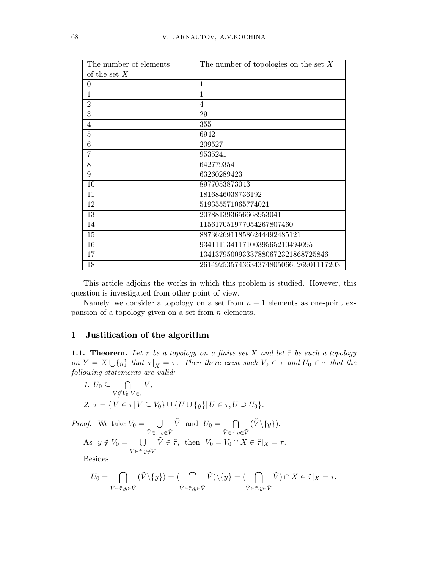| The number of elements | The number of topologies on the set $X$ |
|------------------------|-----------------------------------------|
| of the set $X$         |                                         |
| $\theta$               | 1                                       |
| $\mathbf{1}$           | 1                                       |
| $\overline{2}$         | $\overline{4}$                          |
| 3                      | 29                                      |
| $\overline{4}$         | 355                                     |
| 5                      | 6942                                    |
| 6                      | 209527                                  |
| 7                      | 9535241                                 |
| 8                      | 642779354                               |
| 9                      | 63260289423                             |
| 10                     | 8977053873043                           |
| 11                     | 1816846038736192                        |
| 12                     | 519355571065774021                      |
| 13                     | 207881393656668953041                   |
| 14                     | 115617051977054267807460                |
| 15                     | 88736269118586244492485121              |
| 16                     | 93411113411710039565210494095           |
| 17                     | 134137950093337880672321868725846       |
| 18                     | 261492535743634374805066126901117203    |

This article adjoins the works in which this problem is studied. However, this question is investigated from other point of view.

Namely, we consider a topology on a set from  $n + 1$  elements as one-point expansion of a topology given on a set from  $n$  elements.

#### 1 Justification of the algorithm

**1.1. Theorem.** Let  $\tau$  be a topology on a finite set X and let  $\tilde{\tau}$  be such a topology on  $Y = X \bigcup \{y\}$  that  $\tilde{\tau}|_X = \tau$ . Then there exist such  $V_0 \in \tau$  and  $U_0 \in \tau$  that the following statements are valid:

1. 
$$
U_0 \subseteq \bigcap_{V \nsubseteq V_0, V \in \tau} V
$$
,  
2.  $\tilde{\tau} = \{ V \in \tau | V \subseteq V_0 \} \cup \{ U \cup \{ y \} | U \in \tau, U \supseteq U_0 \}.$ 

*Proof.* We take  $V_0 = \bigcup$  $\tilde{V} \!\in\!\tilde{\tau},\! y \!\!\notin\!\! \tilde{V}$  $\tilde{V}$  and  $U_0 = \bigcap$  $\tilde{V} \!\in\!\tilde{\tau},\!y \!\in\!\tilde{V}$  $(\tilde{V}\backslash \{y\}).$ As  $y \notin V_0 = \bigcup$  $\tilde{V} \!\in\!\tilde{\tau},\! y \!\!\notin\!\! \tilde{V}$  $\tilde{V} \in \tilde{\tau}$ , then  $V_0 = V_0 \cap X \in \tilde{\tau}|_X = \tau$ . Besides

$$
U_0=\bigcap_{\tilde{V}\in\tilde{\tau},y\in\tilde{V}}(\tilde{V}\backslash\{y\})=(\bigcap_{\tilde{V}\in\tilde{\tau},y\in\tilde{V}}\tilde{V})\backslash\{y\}=(\bigcap_{\tilde{V}\in\tilde{\tau},y\in\tilde{V}}\tilde{V})\cap X\in\tilde{\tau}|_X=\tau.
$$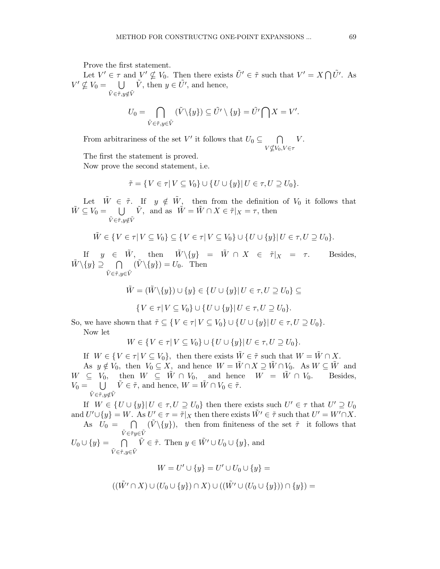Prove the first statement.

Let  $V' \in \tau$  and  $V' \nsubseteq V_0$ . Then there exists  $\tilde{U}' \in \tilde{\tau}$  such that  $V' = X \cap \tilde{U}'$ . As  $V' \nsubseteq V_0 = \bigcup \tilde{V}$ , then  $y \in \tilde{U}'$ , and hence,  $\tilde{V} \in \tilde{\tau}, y \notin \tilde{V}$ 

$$
U_0 = \bigcap_{\tilde{V} \in \tilde{\tau}, y \in \tilde{V}} (\tilde{V} \setminus \{y\}) \subseteq \tilde{U'} \setminus \{y\} = \tilde{U'} \bigcap X = V'.
$$

From arbitrariness of the set V' it follows that  $U_0 \subseteq \cap$  $V$ ⊈ $V_0, V$ ∈τ  $V$ .

The first the statement is proved.

Now prove the second statement, i.e.

$$
\tilde{\tau} = \{ V \in \tau | V \subseteq V_0 \} \cup \{ U \cup \{y\} | U \in \tau, U \supseteq U_0 \}.
$$

Let  $\tilde{W} \in \tilde{\tau}$ . If  $y \notin \tilde{W}$ , then from the definition of  $V_0$  it follows that  $\tilde{W} \subseteq V_0 = \bigcup \tilde{V}$ , and as  $\tilde{W} = \tilde{W} \cap X \in \tilde{\tau}|_X = \tau$ , then  $\tilde{V} \in \tilde{\tau}, y \notin \tilde{V}$ 

$$
\tilde{W} \in \{ V \in \tau | V \subseteq V_0 \} \subseteq \{ V \in \tau | V \subseteq V_0 \} \cup \{ U \cup \{ y \} | U \in \tau, U \supseteq U_0 \}.
$$

If  $y \in \tilde{W}$ , then  $\tilde{W} \setminus \{y\} = \tilde{W} \cap X \in \tilde{\tau}|_X = \tau$ . Besides,  $\tilde{W}\backslash \{y\} \supseteq \bigcap$  $\tilde{V} \!\in\!\tilde{\tau},\! y \!\in\!\tilde{V}$  $(\tilde{V}\setminus \{y\}) = U_0$ . Then

$$
\tilde{W}=(\tilde{W}\backslash \{y\})\cup \{y\}\in \{U\cup \{y\}|\, U\in \tau, U\supseteq U_0\}\subseteq
$$

$$
\{V \in \tau | V \subseteq V_0\} \cup \{U \cup \{y\} | U \in \tau, U \supseteq U_0\}.
$$

So, we have shown that  $\tilde{\tau} \subseteq \{V \in \tau | V \subseteq V_0\} \cup \{U \cup \{y\} | U \in \tau, U \supseteq U_0\}.$ 

Now let

$$
W \in \{ V \in \tau | V \subseteq V_0 \} \cup \{ U \cup \{ y \} | U \in \tau, U \supseteq U_0 \}.
$$

If  $W \in \{V \in \tau | V \subseteq V_0\}$ , then there exists  $\tilde{W} \in \tilde{\tau}$  such that  $W = \tilde{W} \cap X$ . As  $y \notin V_0$ , then  $V_0 \subseteq X$ , and hence  $W = \tilde{W} \cap X \supseteq \tilde{W} \cap V_0$ . As  $W \subseteq \tilde{W}$  and  $W \subseteq V_0$ , then  $W \subseteq \tilde{W} \cap V_0$ , and hence  $W = \tilde{W} \cap V_0$ . Besides,  $V_0 = \bigcup \tilde{V} \in \tilde{\tau}$ , and hence,  $W = \tilde{W} \cap V_0 \in \tilde{\tau}$ .  $\tilde{V} \in \tilde{\tau}, y \notin \tilde{V}$ 

If  $W \in \{U \cup \{y\} | U \in \tau, U \supseteq U_0\}$  then there exists such  $U' \in \tau$  that  $U' \supseteq U_0$ and  $U' \cup \{y\} = W$ . As  $U' \in \tau = \tilde{\tau}|_X$  then there exists  $\tilde{W'} \in \tilde{\tau}$  such that  $U' = W' \cap X$ . As  $U_0 = \bigcap$  $\tilde{V} \in \tilde{\tau} y {\in} \tilde{V}$  $(\tilde{V}\setminus \{y\})$ , then from finiteness of the set  $\tilde{\tau}$  it follows that

 $U_0 \cup \{y\} = \bigcap$  $\tilde{V} \!\in\!\tilde{\tau},\! y \!\in\!\tilde{V}$  $\tilde{V} \in \tilde{\tau}$ . Then  $y \in \tilde{W}' \cup U_0 \cup \{y\}$ , and

$$
W = U' \cup \{y\} = U' \cup U_0 \cup \{y\} =
$$

$$
((\tilde{W'} \cap X) \cup (U_0 \cup \{y\}) \cap X) \cup ((\tilde{W'} \cup (U_0 \cup \{y\})) \cap \{y\}) =
$$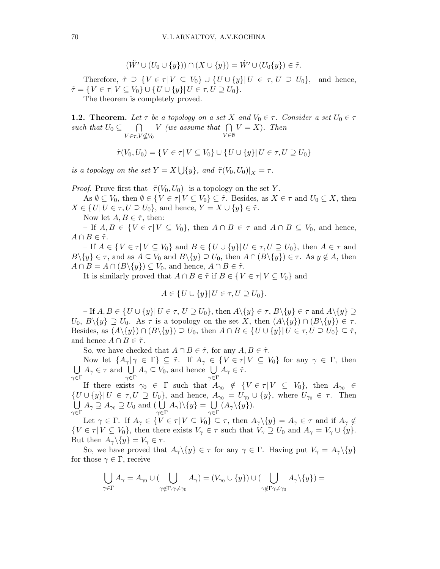$$
(\tilde{W'} \cup (U_0 \cup \{y\})) \cap (X \cup \{y\}) = \tilde{W'} \cup (U_0\{y\}) \in \tilde{\tau}.
$$

Therefore,  $\tilde{\tau} \supseteq \{V \in \tau | V \subseteq V_0\} \cup \{U \cup \{y\} | U \in \tau, U \supseteq U_0\}$ , and hence,  $\tilde{\tau} = \{ V \in \tau | V \subseteq V_0 \} \cup \{ U \cup \{y\} | U \in \tau, U \supseteq U_0 \}.$ 

The theorem is completely proved.

**1.2.** Theorem. Let  $\tau$  be a topology on a set X and  $V_0 \in \tau$ . Consider a set  $U_0 \in \tau$ such that  $U_0 \subseteq \bigcap V$  (we assume that  $\bigcap V = X$ ). Then  $V \in \tau, V \not\subseteq V_0$  $V \in \emptyset$ 

$$
\tilde{\tau}(V_0,U_0)=\{V\in\tau| V\subseteq V_0\}\cup\{U\cup\{y\}| U\in\tau, U\supseteq U_0\}
$$

is a topology on the set  $Y = X \bigcup \{y\}$ , and  $\tilde{\tau}(V_0, U_0)|_X = \tau$ .

*Proof.* Prove first that  $\tilde{\tau}(V_0, U_0)$  is a topology on the set Y.

As  $\emptyset \subseteq V_0$ , then  $\emptyset \in \{V \in \tau | V \subseteq V_0\} \subseteq \tilde{\tau}$ . Besides, as  $X \in \tau$  and  $U_0 \subseteq X$ , then  $X \in \{U | U \in \tau, U \supseteq U_0\}$ , and hence,  $Y = X \cup \{y\} \in \tilde{\tau}$ .

Now let  $A, B \in \tilde{\tau}$ , then:

– If  $A, B \in \{V \in \tau | V \subseteq V_0\}$ , then  $A \cap B \in \tau$  and  $A \cap B \subseteq V_0$ , and hence,  $A \cap B \in \tilde{\tau}$ .

– If  $A \in \{V \in \tau | V \subseteq V_0\}$  and  $B \in \{U \cup \{y\} | U \in \tau, U \supseteq U_0\}$ , then  $A \in \tau$  and  $B\setminus\{y\} \in \tau$ , and as  $A \subseteq V_0$  and  $B\setminus\{y\} \supseteq U_0$ , then  $A \cap (B\setminus\{y\}) \in \tau$ . As  $y \notin A$ , then  $A \cap B = A \cap (B \setminus \{y\}) \subseteq V_0$ , and hence,  $A \cap B \in \tilde{\tau}$ .

It is similarly proved that  $A \cap B \in \tilde{\tau}$  if  $B \in \{V \in \tau | V \subseteq V_0\}$  and

$$
A \in \{U \cup \{y\} | U \in \tau, U \supseteq U_0\}.
$$

– If  $A, B \in \{U \cup \{y\} | U \in \tau, U \supseteq U_0\}$ , then  $A \setminus \{y\} \in \tau$ ,  $B \setminus \{y\} \in \tau$  and  $A \setminus \{y\} \supseteq$  $U_0, B\backslash\{y\} \supseteq U_0$ . As  $\tau$  is a topology on the set X, then  $(A\{\{y\}) \cap (B\{\{y\}) \in \tau$ . Besides, as  $(A \setminus \{y\}) \cap (B \setminus \{y\}) \supseteq U_0$ , then  $A \cap B \in \{U \cup \{y\} | U \in \tau, U \supseteq U_0\} \subseteq \tilde{\tau}$ , and hence  $A \cap B \in \tilde{\tau}$ .

So, we have checked that  $A \cap B \in \tilde{\tau}$ , for any  $A, B \in \tilde{\tau}$ .

Now let  $\{A_{\gamma} | \gamma \in \Gamma\} \subseteq \tilde{\tau}$ . If  $A_{\gamma} \in \{V \in \tau | V \subseteq V_0\}$  for any  $\gamma \in \Gamma$ , then  $\overline{\phantom{0}}$ γ∈Γ  $A_{\gamma} \in \tau$  and  $\bigcup A_{\gamma} \subseteq V_0$ , and hence  $\bigcup A_{\gamma} \in \tilde{\tau}$ .  $\gamma \in \Gamma$  $\gamma \in \Gamma$ 

If there exists  $\gamma_0 \in \Gamma$  such that  $A_{\gamma_0} \notin \{ V \in \tau | V \subseteq V_0 \}$ , then  $A_{\gamma_0} \in$  $\{U \cup \{y\} | U \in \tau, U \supseteq U_0\}$ , and hence,  $A_{\gamma_0} = U_{\gamma_0} \cup \{y\}$ , where  $U_{\gamma_0} \in \tau$ . Then .<br>I I  $\bigcup_{\gamma \in \Gamma} A_{\gamma} \supseteq A_{\gamma_0} \supseteq U_0$  and  $\bigcup_{\gamma \in \Gamma}$  $A_{\gamma}$ )\{y} = U  $\gamma {\in} \Gamma$  $(A_{\gamma}\backslash\{y\}).$ 

Let  $\gamma \in \Gamma$ . If  $A_{\gamma} \in \{V \in \tau | V \subseteq V_0\} \subseteq \tau$ , then  $A_{\gamma}\setminus \{y\} = A_{\gamma} \in \tau$  and if  $A_{\gamma} \notin \mathcal{C}$  $\{V \in \tau \mid V \subseteq V_0\}$ , then there exists  $V_\gamma \in \tau$  such that  $V_\gamma \supseteq U_0$  and  $A_\gamma = V_\gamma \cup \{y\}$ . But then  $A_{\gamma}\backslash\{y\}=V_{\gamma}\in\tau$ .

So, we have proved that  $A_{\gamma}\backslash\{y\} \in \tau$  for any  $\gamma \in \Gamma$ . Having put  $V_{\gamma} = A_{\gamma}\backslash\{y\}$ for those  $\gamma \in \Gamma$ , receive

$$
\bigcup_{\gamma\in \Gamma}A_{\gamma}=A_{\gamma_0}\cup (\bigcup_{\gamma\notin \Gamma, \gamma\neq \gamma_0}A_{\gamma})=(V_{\gamma_0}\cup \{y\})\cup (\bigcup_{\gamma\notin \Gamma \gamma\neq \gamma_0}A_{\gamma}\backslash \{y\})=
$$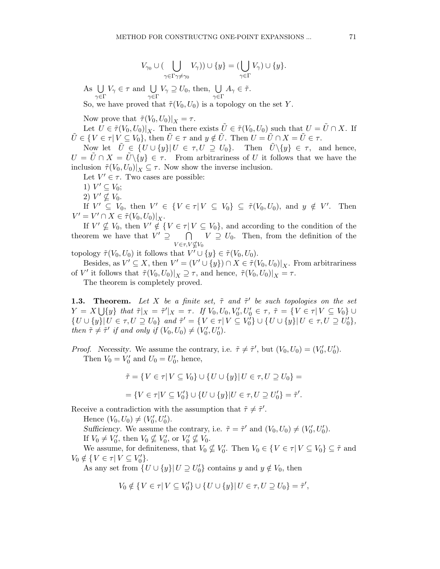$$
V_{\gamma_0} \cup (\bigcup_{\gamma \in \Gamma \gamma \neq \gamma_0} V_{\gamma})) \cup \{y\} = (\bigcup_{\gamma \in \Gamma} V_{\gamma}) \cup \{y\}.
$$

 $As U$  $\gamma {\in} \Gamma$  $V_{\gamma} \in \tau$  and  $\bigcup$  $\gamma {\in} \Gamma$  $V_{\gamma} \supseteq U_0$ , then,  $\bigcup$  $\gamma {\in} \Gamma$  $A_\gamma \in \tilde{\tau}.$ 

So, we have proved that  $\tilde{\tau}(V_0,U_0)$  is a topology on the set Y.

Now prove that  $\tilde{\tau}(V_0,U_0)|_X = \tau$ .

Let  $U \in \tilde{\tau}(V_0,U_0)|_X$ . Then there exists  $\tilde{U} \in \tilde{\tau}(V_0,U_0)$  such that  $U = \tilde{U} \cap X$ . If  $\tilde{U} \in \{V \in \tau | V \subseteq V_0\}$ , then  $\tilde{U} \in \tau$  and  $y \notin \tilde{U}$ . Then  $U = \tilde{U} \cap X = \tilde{U} \in \tau$ .

Now let  $\tilde{U} \in \{U \cup \{y\} | U \in \tau, U \supseteq U_0\}.$  Then  $\tilde{U} \setminus \{y\} \in \tau$ , and hence,  $U = \tilde{U} \cap X = \tilde{U} \setminus \{y\} \in \tau$ . From arbitrariness of U it follows that we have the inclusion  $\tilde{\tau}(V_0,U_0)|_X \subseteq \tau$ . Now show the inverse inclusion.

Let  $V' \in \tau$ . Two cases are possible:

- 1)  $V' \subseteq V_0$ ;
- 2)  $V' \nsubseteq V_0$ .

If  $V' \subseteq V_0$ , then  $V' \in \{V \in \tau | V \subseteq V_0\} \subseteq \tilde{\tau}(V_0, U_0)$ , and  $y \notin V'$ . Then  $V' = V' \cap X \in \tilde{\tau}(V_0, U_0)|_X.$ 

If  $V' \nsubseteq V_0$ , then  $V' \notin \{V \in \tau | V \subseteq V_0\}$ , and according to the condition of the theorem we have that  $V' \supseteq \bigcap_{i=1}^{n} V_i \supseteq U_0$ . Then, from the definition of the  $V \in \tau, V \not\subset V_0$ 

topology  $\tilde{\tau}(V_0, U_0)$  it follows that  $V' \cup \{y\} \in \tilde{\tau}(V_0, U_0)$ .

Besides, as  $V' \subseteq X$ , then  $V' = (V' \cup \{y\}) \cap X \in \tilde{\tau}(V_0, U_0)|_X$ . From arbitrariness of V' it follows that  $\tilde{\tau}(V_0, U_0)|_X \supseteq \tau$ , and hence,  $\tilde{\tau}(V_0, U_0)|_X = \tau$ .

The theorem is completely proved.

**1.3.** Theorem. Let X be a finite set,  $\tilde{\tau}$  and  $\tilde{\tau}'$  be such topologies on the set  $Y = X \bigcup \{y\}$  that  $\tilde{\tau}|_X = \tilde{\tau}'|_X = \tau$ . If  $V_0, U_0, V'_0, U'_0 \in \tau$ ,  $\tilde{\tau} = \{V \in \tau | V \subseteq V_0\}$  $\{U \cup \{y\} | U \in \tau, U \supseteq U_0\}$  and  $\tilde{\tau}' = \{V \in \tau | V \subseteq V'_0\} \cup \{U \cup \{y\} | U \in \tau, U \supseteq U'_0\},\$ then  $\tilde{\tau} \neq \tilde{\tau}'$  if and only if  $(V_0, U_0) \neq (V'_0, U'_0)$ .

*Proof.* Necessity. We assume the contrary, i.e.  $\tilde{\tau} \neq \tilde{\tau}'$ , but  $(V_0, U_0) = (V'_0, U'_0)$ . Then  $V_0 = V'_0$  and  $U_0 = U'_0$ , hence,

$$
\tilde{\tau} = \{ V \in \tau | V \subseteq V_0 \} \cup \{ U \cup \{ y \} | U \in \tau, U \supseteq U_0 \} =
$$

$$
= \{ V \in \tau | V \subseteq V_0' \} \cup \{ U \cup \{ y \} | U \in \tau, U \supseteq U_0' \} = \tilde{\tau}'.
$$

Receive a contradiction with the assumption that  $\tilde{\tau} \neq \tilde{\tau}'$ .

Hence  $(V_0, U_0) \neq (V'_0, U'_0)$ .

Sufficiency. We assume the contrary, i.e.  $\tilde{\tau} = \tilde{\tau}'$  and  $(V_0, U_0) \neq (V'_0, U'_0)$ .

If  $V_0 \neq V'_0$ , then  $V_0 \nsubseteq V'_0$ , or  $V'_0 \nsubseteq V_0$ .

We assume, for definiteness, that  $V_0 \not\subseteq V'_0$ . Then  $V_0 \in \{V \in \tau | V \subseteq V_0\} \subseteq \tilde{\tau}$  and  $V_0 \notin \{ V \in \tau \mid V \subseteq V'_0 \}.$ 

As any set from  $\{U \cup \{y\} | U \supseteq U_0'\}$  contains y and  $y \notin V_0$ , then

$$
V_0 \notin \{ V \in \tau | V \subseteq V_0' \} \cup \{ U \cup \{y\} | U \in \tau, U \supseteq U_0 \} = \tilde{\tau}',
$$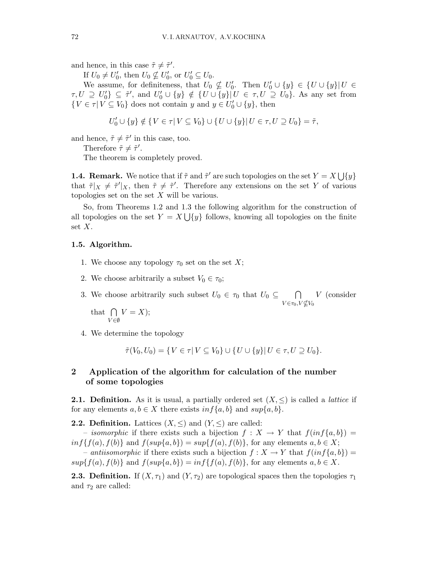and hence, in this case  $\tilde{\tau} \neq \tilde{\tau}'$ .

If  $U_0 \neq U'_0$ , then  $U_0 \nsubseteq U'_0$ , or  $U'_0 \subseteq U_0$ .

We assume, for definiteness, that  $U_0 \nsubseteq U'_0$ . Then  $U'_0 \cup \{y\} \in \{U \cup \{y\} | U \in$  $\tau, U \supseteq U'_0$   $\subseteq \tilde{\tau}'$ , and  $U'_0 \cup \{y\} \notin \{U \cup \{y\} | U \in \tau, U \supseteq U_0\}$ . As any set from  $\{V \in \tau | V \subseteq V_0\}$  does not contain y and  $y \in U'_0 \cup \{y\}$ , then

$$
U'_0\cup\{y\}\notin\{V\in\tau|\, V\subseteq V_0\}\cup\{U\cup\{y\}|\, U\in\tau, U\supseteq U_0\}=\tilde{\tau},
$$

and hence,  $\tilde{\tau} \neq \tilde{\tau}'$  in this case, too.

Therefore  $\tilde{\tau} \neq \tilde{\tau}'$ .

The theorem is completely proved.

**1.4. Remark.** We notice that if  $\tilde{\tau}$  and  $\tilde{\tau}'$  are such topologies on the set  $Y = X \cup \{y\}$ that  $\tilde{\tau}|_X \neq \tilde{\tau}'|_X$ , then  $\tilde{\tau} \neq \tilde{\tau}'$ . Therefore any extensions on the set Y of various topologies set on the set  $X$  will be various.

So, from Theorems 1.2 and 1.3 the following algorithm for the construction of all topologies on the set  $Y = X \bigcup \{y\}$  follows, knowing all topologies on the finite set X.

#### 1.5. Algorithm.

- 1. We choose any topology  $\tau_0$  set on the set X;
- 2. We choose arbitrarily a subset  $V_0 \in \tau_0$ ;

3. We choose arbitrarily such subset  $U_0 \in \tau_0$  that  $U_0 \subseteq \cap$  $V \in \tau_0, V \not\subseteq V_0$ V (consider

that  $\bigcap$ V ∈∅  $V = X);$ 

4. We determine the topology

$$
\tilde{\tau}(V_0,U_0)=\{V\in\tau| V\subseteq V_0\}\cup\{U\cup\{y\}| U\in\tau, U\supseteq U_0\}.
$$

## 2 Application of the algorithm for calculation of the number of some topologies

**2.1. Definition.** As it is usual, a partially ordered set  $(X, \leq)$  is called a *lattice* if for any elements  $a, b \in X$  there exists  $\inf\{a, b\}$  and  $\sup\{a, b\}.$ 

**2.2. Definition.** Lattices  $(X, \leq)$  and  $(Y, \leq)$  are called:

– isomorphic if there exists such a bijection  $f: X \to Y$  that  $f(inf\{a,b\}) =$  $inf{f(a), f(b)}$  and  $f(sup{a,b}) = sup{f(a), f(b)}$ , for any elements  $a, b \in X$ ;

– antiisomorphic if there exists such a bijection  $f: X \to Y$  that  $f(inf\{a,b\}) =$  $sup{f(a), f(b)}$  and  $f(sup{a,b}) = inf{f(a), f(b)}$ , for any elements  $a, b \in X$ .

**2.3. Definition.** If  $(X, \tau_1)$  and  $(Y, \tau_2)$  are topological spaces then the topologies  $\tau_1$ and  $\tau_2$  are called: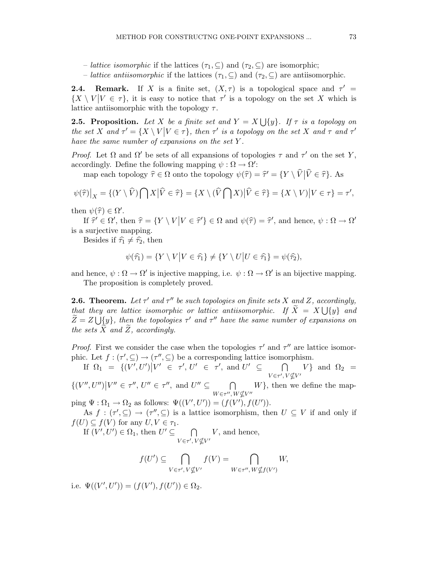- *lattice isomorphic* if the lattices  $(\tau_1, \subseteq)$  and  $(\tau_2, \subseteq)$  are isomorphic;
- *lattice antiisomorphic* if the lattices  $(\tau_1, \subseteq)$  and  $(\tau_2, \subseteq)$  are antiisomorphic.

**2.4.** Remark. If X is a finite set,  $(X, \tau)$  is a topological space and  $\tau' =$  $\{X \setminus V | V \in \tau\}$ , it is easy to notice that  $\tau'$  is a topology on the set X which is lattice antiisomorphic with the topology  $\tau$ .

**2.5. Proposition.** Let X be a finite set and  $Y = X \bigcup \{y\}$ . If  $\tau$  is a topology on the set X and  $\tau' = \{X \setminus V | V \in \tau\}$ , then  $\tau'$  is a topology on the set X and  $\tau$  and  $\tau'$ have the same number of expansions on the set Y .

Proof. Let Ω and  $\Omega'$  be sets of all expansions of topologies  $\tau$  and  $\tau'$  on the set Y, accordingly. Define the following mapping  $\psi : \Omega \to \Omega'$ :

map each topology  $\hat{\tau} \in \Omega$  onto the topology  $\psi(\hat{\tau}) = \hat{\tau}' = \{Y \setminus \hat{V} \mid \hat{V} \in \hat{\tau}\}\)$ . As

$$
\psi(\widehat{\tau})\big|_X = \{ (Y \setminus \widehat{V}) \bigcap X \big| \widehat{V} \in \widehat{\tau} \} = \{ X \setminus (\widehat{V} \bigcap X) \big| \widehat{V} \in \widehat{\tau} \} = \{ X \setminus V \big| V \in \tau \} = \tau',
$$

then  $\psi(\hat{\tau}) \in \Omega'.$ 

If  $\hat{\tau'} \in \Omega'$ , then  $\hat{\tau} = \{ Y \setminus V \mid V \in \hat{\tau'} \} \in \Omega$  and  $\psi(\hat{\tau}) = \hat{\tau'}$ , and hence,  $\psi : \Omega \to \Omega'$ is a surjective mapping.

Besides if  $\hat{\tau}_1 \neq \hat{\tau}_2$ , then

$$
\psi(\widehat{\tau_1}) = \{ Y \setminus V \, \big| V \in \widehat{\tau_1} \} \neq \{ Y \setminus U \, \big| U \in \widehat{\tau_1} \} = \psi(\widehat{\tau_2}),
$$

and hence,  $\psi : \Omega \to \Omega'$  is injective mapping, i.e.  $\psi : \Omega \to \Omega'$  is an bijective mapping. The proposition is completely proved.

**2.6. Theorem.** Let  $\tau'$  and  $\tau''$  be such topologies on finite sets X and Z, accordingly, that they are lattice isomorphic or lattice antiisomorphic. If  $\widetilde{X} = X \bigcup \{y\}$  and  $\widetilde{Z}=Z\bigcup \{y\},\;$  then the topologies  $\tau'$  and  $\tau''$  have the same number of expansions on the sets  $\tilde{X}$  and  $\tilde{Z}$ , accordingly.

*Proof.* First we consider the case when the topologies  $\tau'$  and  $\tau''$  are lattice isomorphic. Let  $f: (\tau', \subseteq) \to (\tau'', \subseteq)$  be a corresponding lattice isomorphism.

If  $\Omega_1 = \left\{ (\overline{V'}, U') | V' \in \tau', U' \in \tau', \text{ and } U' \subseteq \right\}$  $\overline{\Omega}$  $V \in \tau', V \not\subseteq V'$ V} and  $\Omega_2$  =

 $\{(V'', U'')|V'' \in \tau'', U'' \in \tau'', \text{ and } U'' \subseteq \cap$  $W \in \tau^{\prime\prime}, W \not\subseteq V^{\prime\prime}$  $W\}$ , then we define the map-

ping  $\Psi : \Omega_1 \to \Omega_2$  as follows:  $\Psi((V', U')) = (f(V'), f(U')).$ 

As  $f: (\tau', \subseteq) \to (\tau'', \subseteq)$  is a lattice isomorphism, then  $U \subseteq V$  if and only if  $f(U) \subseteq f(V)$  for any  $U, V \in \tau_1$ .

If  $(V', U') \in \Omega_1$ , then  $U' \subseteq \square$  $V \in \tau', V \not\subseteq V'$ V, and hence,

$$
f(U') \subseteq \bigcap_{V \in \tau', V \nsubseteq V'} f(V) = \bigcap_{W \in \tau'', W \nsubseteq f(V')} W,
$$

i.e.  $\Psi((V', U')) = (f(V'), f(U')) \in \Omega_2$ .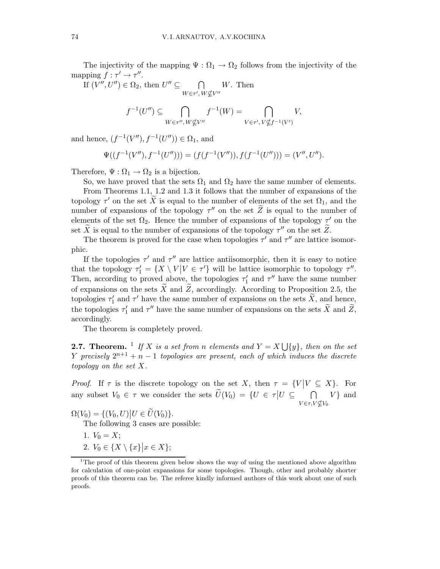The injectivity of the mapping  $\Psi : \Omega_1 \to \Omega_2$  follows from the injectivity of the mapping  $f : \tau' \to \tau''$ .

If  $(V'', U'') \in \Omega_2$ , then  $U'' \subseteq \square$  $W \in \tau', W \not\subseteq V''$ W. Then

$$
f^{-1}(U'') \subseteq \bigcap_{W \in \tau'', W \nsubseteq V''} f^{-1}(W) = \bigcap_{V \in \tau', V \nsubseteq f^{-1}(V')} V,
$$

and hence,  $(f^{-1}(V''), f^{-1}(U'')) \in \Omega_1$ , and

$$
\Psi((f^{-1}(V''), f^{-1}(U''))) = (f(f^{-1}(V'')), f(f^{-1}(U''))) = (V'', U'').
$$

Therefore,  $\Psi : \Omega_1 \to \Omega_2$  is a bijection.

So, we have proved that the sets  $\Omega_1$  and  $\Omega_2$  have the same number of elements.

From Theorems 1.1, 1.2 and 1.3 it follows that the number of expansions of the topology  $\tau'$  on the set  $\tilde{X}$  is equal to the number of elements of the set  $\Omega_1$ , and the number of expansions of the topology  $\tau''$  on the set  $\tilde{Z}$  is equal to the number of elements of the set  $\Omega_2$ . Hence the number of expansions of the topology  $\tau'$  on the set  $\widetilde{X}$  is equal to the number of expansions of the topology  $\tau''$  on the set  $\widetilde{Z}$ .

The theorem is proved for the case when topologies  $\tau'$  and  $\tau''$  are lattice isomorphic.

If the topologies  $\tau'$  and  $\tau''$  are lattice antiisomorphic, then it is easy to notice that the topology  $\tau_1' = \{X \setminus V | V \in \tau'\}$  will be lattice isomorphic to topology  $\tau''$ . Then, according to proved above, the topologies  $\tau'_1$  and  $\tau''$  have the same number of expansions on the sets  $\tilde{X}$  and  $\tilde{Z}$ , accordingly. According to Proposition 2.5, the topologies  $\tau'_1$  and  $\tau'$  have the same number of expansions on the sets  $\tilde{X}$ , and hence, the topologies  $\tau'_1$  and  $\tau''$  have the same number of expansions on the sets  $\tilde{X}$  and  $\tilde{Z}$ , accordingly.

The theorem is completely proved.

**2.7. Theorem.** <sup>1</sup> If X is a set from n elements and  $Y = X \bigcup \{y\}$ , then on the set Y precisely  $2^{n+1} + n - 1$  topologies are present, each of which induces the discrete topology on the set X.

*Proof.* If  $\tau$  is the discrete topology on the set X, then  $\tau = \{V | V \subseteq X\}$ . For any subset  $V_0 \in \tau$  we consider the sets  $\widetilde{U}(V_0) = \{U \in \tau | U \subseteq \tau\}$  $V$ ∈τ, $V$ ⊈ $V_0$  $V\}$  and

 $\Omega(V_0) = \{ (V_0, U) | U \in \widetilde{U}(V_0) \}.$ 

The following 3 cases are possible:

- 1.  $V_0 = X$ ;
- 2.  $V_0 \in \{X \setminus \{x\} | x \in X\};$

<sup>&</sup>lt;sup>1</sup>The proof of this theorem given below shows the way of using the mentioned above algorithm for calculation of one-point expansions for some topologies. Though, other and probably shorter proofs of this theorem can be. The referee kindly informed authors of this work about one of such proofs.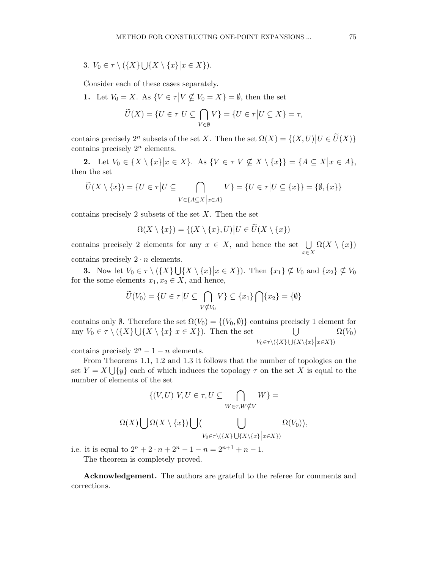3.  $V_0 \in \tau \setminus (\{X\} \bigcup \{X \setminus \{x\} | x \in X\}).$ 

Consider each of these cases separately.

**1.** Let  $V_0 = X$ . As  $\{V \in \tau | V \nsubseteq V_0 = X\} = \emptyset$ , then the set

$$
\widetilde{U}(X) = \{ U \in \tau \Big| U \subseteq \bigcap_{V \in \emptyset} V \} = \{ U \in \tau \Big| U \subseteq X \} = \tau,
$$

contains precisely  $2^n$  subsets of the set X. Then the set  $\Omega(X) = \{(X, U) | U \in \widetilde{U}(X)\}\$ contains precisely  $2^n$  elements.

2. Let  $V_0 \in \{X \setminus \{x\} | x \in X\}$ . As  $\{V \in \tau | V \nsubseteq X \setminus \{x\}\} = \{A \subseteq X | x \in A\}$ , then the set

$$
\widetilde{U}(X \setminus \{x\}) = \{U \in \tau | U \subseteq \bigcap_{V \in \{A \subseteq X \mid x \in A\}} V\} = \{U \in \tau | U \subseteq \{x\}\} = \{\emptyset, \{x\}\}\
$$

contains precisely 2 subsets of the set  $X$ . Then the set

 $\Omega(X \setminus \{x\}) = \{(X \setminus \{x\}, U) | U \in \widetilde{U}(X \setminus \{x\})\}$ 

contains precisely 2 elements for any  $x \in X$ , and hence the set  $\bigcup$ x∈X  $\Omega(X \setminus \{x\})$ contains precisely  $2 \cdot n$  elements.

**3.** Now let  $V_0 \in \tau \setminus (\{X\} \cup \{X \setminus \{x\} | x \in X\})$ . Then  $\{x_1\} \nsubseteq V_0$  and  $\{x_2\} \nsubseteq V_0$ for the some elements  $x_1, x_2 \in X$ , and hence,

$$
\widetilde{U}(V_0) = \{ U \in \tau \big| U \subseteq \bigcap_{V \nsubseteq V_0} V \} \subseteq \{x_1\} \bigcap \{x_2\} = \{\emptyset\}
$$

contains only  $\emptyset$ . Therefore the set  $\Omega(V_0) = \{(V_0, \emptyset)\}\)$  contains precisely 1 element for any  $V_0 \in \tau \setminus (\{X\} \cup \{X \setminus \{x\} | x \in X\})$ . Then the set  $\bigcup$  $V_0 \in \tau \setminus (\{X\} \bigcup \{X \setminus \{x\} \Big| x \in X\})$  $\Omega(V_0)$ 

contains precisely  $2^n - 1 - n$  elements.

From Theorems 1.1, 1.2 and 1.3 it follows that the number of topologies on the set  $Y = X \bigcup \{y\}$  each of which induces the topology  $\tau$  on the set X is equal to the number of elements of the set

$$
\{(V, U) | V, U \in \tau, U \subseteq \bigcap_{W \in \tau, W \nsubseteq V} W\} =
$$
  

$$
\Omega(X) \bigcup \Omega(X \setminus \{x\}) \bigcup \big(\bigcup_{V_0 \in \tau \setminus (\{X\} \cup \{X \setminus \{x\}} \big| x \in X\})} \Omega(V_0)\big),
$$

i.e. it is equal to  $2^n + 2 \cdot n + 2^n - 1 - n = 2^{n+1} + n - 1$ .

The theorem is completely proved.

Acknowledgement. The authors are grateful to the referee for comments and corrections.